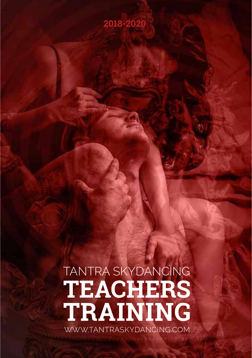## **2018-2020**

# TANTRA SKYDANCING **TEACHERS TRAINING** WWW.TANTRASKYDANCING.COM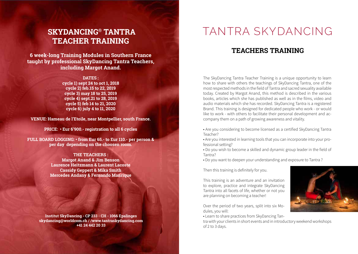## **SKYDANCING® TANTRA TEACHER TRAINING**

**6 week-long Training Modules in Southern France taught by professional SkyDancing Tantra Teachers, including Margot Anand.**

> **DATES : cycle 1) sept 24 to oct 1, 2018 cycle 2) feb.15 to 22, 2019 cycle 3) may 18 to 25, 2019 cycle 4) sept.21 to 28, 2019 cycle 5) feb 14 to 21, 2020 cycle 6) july 4 to 11, 2020**

**VENUE: Hameau de l'Etoile, near Montpellier, south France.** 

**PRICE: • Eur 6'900.- registration to all 6 cycles**

**FULL BOARD LOGGING: • from Eur 65.- to Eur 110.- per person & per day depending on the choosen room.** 

> **THE TEACHERS : Margot Anand & Jim Benson Laurence Heitzmann & Laurent Lacoste Cassidy Geppert & Mika Smith Mercedes Andany & Fernando Manrique**

**Institut SkyDancing - CP 233 - CH - 1066 Epalinges skydancing@worldcom.ch / /www.tantraskydancing.com +41 24 442 20 33**

## TANTRA SKYDANCING

## **TEACHERS TRAINING**

The SkyDancing Tantra Teacher Training is a unique opportunity to learn how to share with others the teachings of SkyDancing Tantra, one of the most respected methods in the field of Tantra and sacred sexuality available today. Created by Margot Anand, this method is described in the various books, articles which she has published as well as in the films, video and audio materials which she has recorded. SkyDancing Tantra is a registered Brand. This training is designed for dedicated people who work - or would like to work - with others to facilitate their personal development and accompany them on a path of growing awareness and vitality.

- Are you considering to become licensed as a certified SkyDancing Tantra Teacher?
- Are you interested in learning tools that you can incorporate into your professional setting?
- Do you wish to become a skilled and dynamic group leader in the field of Tantra?
- Do you want to deepen your understanding and exposure to Tantra ?

Then this training is definitely for you.

This training is an adventure and an invitation to explore, practice and integrate SkyDancing Tantra into all facets of life, whether or not you are planning on becoming a teacher!

Over the period of two years, split into six Modules, you will:

• Learn to share practices from SkyDancing Tan-

tra with your clients in short events and in introductory weekend workshops of 2 to 3 days.

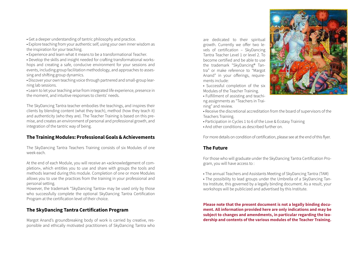• Get a deeper understanding of tantric philosophy and practice.

• Explore teaching from your authentic self, using your own inner wisdom as the inspiration for your teaching.

• Experience and learn what it means to be a transformational Teacher.

• Develop the skills and insight needed for crafting transformational workshops and creating a safe, conducive environment for your sessions and events, including group facilitation methodology, and approaches to assessing and shifting group dynamics.

• Discover your own teaching voice through partnered and small-group learning lab sessions.

• Learn to let your teaching arise from integrated life experience, presence in the moment, and intuitive responses to clients' needs.

The SkyDancing Tantra teacher embodies the teachings, and inspires their clients by blending content (what they teach), method (how they teach it) and authenticity (who they are). The Teacher Training is based on this premise, and creates an environment of personal and professional growth, and integration of the tantric way of being.

### **The Training Modules: Professional Goals & Achievements**

The SkyDancing Tantra Teachers Training consists of six Modules of one week each.

At the end of each Module, you will receive an «acknowledgement of completion», which entitles you to use and share with groups the tools and methods learned during this module. Completion of one or more Modules allows you to use the practices from the training in your professional and personal setting.

However, the trademark "SkyDancing Tantra» may be used only by those who successfully complete the optional SkyDancing Tantra Certification Program at the certification level of their choice.

### **The SkyDancing Tantra Certification Program**

Margot Anand's groundbreaking body of work is carried by creative, responsible and ethically motivated practitioners of SkyDancing Tantra who

are dedicated to their spiritual growth. Currently we offer two levels of certification – SkyDancing Tantra Teacher Level 1 or level 2. To become certified and be able to use the trademark "SkyDancing® Tantra" or make reference to "Margot Anand" in your offerings, requirements include:

• Successful completion of the six Modules of the Teacher Training.

• Fulfillment of assisting and teaching assignments as "Teachers in Training" and review.



- Receive the discretional accreditation from the board of supervisors of the Teachers Training.
- Participation in Cycles 1 to 6 of the Love & Ecstasy Training
- And other conditions as described further on.

For more details on condition of certification, please see at the end of this flyer.

### **The Future**

For those who will graduate under the SkyDancing Tantra Certification Program, you will have access to :

• The annual Teachers and Assistants Meeting of SkyDancing Tantra (TAM)

• The possibility to lead groups under the Umbrella of a SkyDancing Tantra Institute, this governed by a legally binding document. As a result, your workshops will be publicized and advertised by this Institute.

**Please note that the present document is not a legally binding document. All information provided here are only indications and may be subject to changes and amendments, in particular regarding the leadership and contents of the various modules of the Teacher Training.**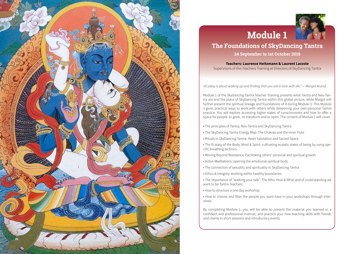



## **Module 1 The Foundations of SkyDancing Tantra**

**24 September to 1st October 2018**

**Teachers: Laurence Heitzmann & Laurent Lacoste** Supervisors of the Teachers Training et Directors of SkyDancing Tantra

*«Ecstasy is about waking up and finding that you are in love with life." — Margot Anand*

Module 1 of the Skydancing Tantra Teacher Training presents what Tantra and Neo-Tantra are and the place of SkyDancing Tantra within this global picture, while Margot will further present the spiritual lineage and foundations of it during Module 3. This Module 1 gives practical ways to work with others while deepening your own personal Tantra practice. You will explore accessing higher states of consciousness and how to offer a space for people to grow, to transform and to open. The content of Module 1 will cover:

- The principles of Tantra, Neo-Tantra and SkyDancing Tantra
- The SkyDancing Tantra Energy Map: The Chakras and the Inner Flute
- Rituals in SkyDancing Tantra: Heart Salutation and Sacred Space
- The Ecstasy of the Body, Mind & Spirit: cultivating ecstatic states of being by using specific breathing technics.
- Moving Beyond Resistance: Facilitating others' personal and spiritual growth
- Active Meditations: opening the emotional-spiritual body
- The connection of sexuality and spirituality in SkyDancing Tantra
- Ethics & Integrity: working within healthy boundaries
- The importance of "walking your talk": The Who, How & What and of understanding we want to be Tantra Teachers.
- How to structure a one day workshop.
- How to choose and filter the people you want have in your workshops through interviews.

By completing Module 1, you will be able to present the material you learned in a confident and professional manner, and practice your new teaching skills with friends and clients in short sessions and introductory events.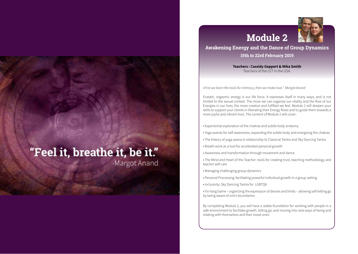

### **Awakening Energy and the Dance of Group Dynamics**

**Module 2** 

**15th to 22rd February 2019**

**Teachers : Cassidy Geppert & Mika Smith** Teachers of the LET in the USA.

*«First we learn the tools for intimacy, then we make love." Margot Anand*

Ecstatic, orgasmic energy is our life force. It expresses itself in many ways, and is not limited to the sexual context. The more we can organize our vitality and the flow of our Energies in our lives, the more creative and fulfilled we feel. Module 2 will deepen your skills to support your clients in liberating their Energy flows and to guide them towards a more joyful and vibrant lives. The content of Module 2 will cover:

- Experiential exploration of the chakras and subtle body anatomy
- Yoga asanas for self-awareness, expanding the subtle body and energizing the chakras
- The history of yoga asana in relationship to Classical Tantra and Sky Dancing Tantra
- Breath work as a tool for accelerated personal growth
- Awareness and transformation through movement and dance
- The Mind and Heart of the Teacher: tools for creating trust, teaching methodology and teacher self-care
- Managing challenging group dynamics
- Personal Processing: facilitating powerful individual growth in a group setting
- Inclusivity: Sky Dancing Tantra for LGBTQA
- Yin-Yang Game organizing the expression of desires and limits allowing self-letting go by being aware of one's boundaries.

By completing Module 2, you will have a stable foundation for working with people in a safe environment to facilitate growth, letting go, and moving into new ways of being and relating with themselves and their loved ones.

# "Feel it, breathe it, be it."

-Margot Anand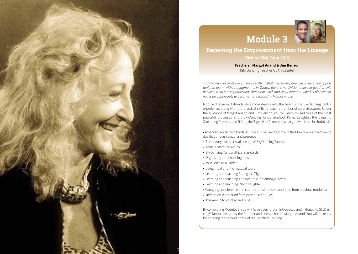



# **Receiving the Empowerment from the Lineage**

**18th to 25th May 2019**

**Teachers : Margot Anand & Jim Benson** (SkyDancing Teacher USA Institute)

*«Tantric vision accepts everything. Everything that a person experiences or feels is an opportunity to learn, without judgment… In Tantra, there is no division between good or evil, between what is acceptable and what is not. Each and every situation, whether pleasant or not, is an opportunity to become more aware." — Margot Anand*

Module 3 is an invitation to dive more deeply into the heart of the SkyDancing Tantra experience, along with the practical skills to teach a number of core structures. Under the guidance of Margot Anand and Jim Benson, you will learn to lead three of the most powerful processes in the SkyDancing Tantra method: Pelvic Laughter, the Dynamic Streaming Process, and Riding the Tiger. Here's more of what you will learn in Module 3:

• Advanced SkyDancing Practices such as: The Fire Orgasm and the Chakra Wave: overcoming dualities through breath and presence

- The history and spiritual lineage of SkyDancing Tantra
- What is sacred sexuality?
- SkyDancing Tantra ethical standards
- Organizing and choosing music
- Your voice as a leader
- Using ritual and the mystical tools
- Learning and teaching Riding the Tiger
- Learning and teaching The Dynamic Streaming process
- Learning and teaching Pelvic Laughter
- Managing transference and countertransference (continued from previous modules)
- Meditation (continued from previous modules)
- Awakening to ecstasy and bliss

By completing Modules 3, you will have been further introduced and initiated to SkyDancing® Tantra lineage, by the founder and lineage holder Margot Anand. You will be ready for entering the second phase of the Teachers Training.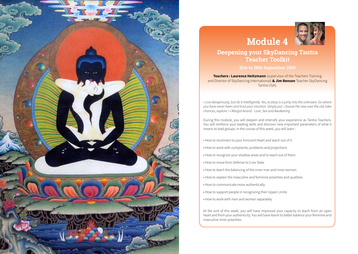

# **Module 4**



## **Deepening your SkyDancing Tantra Teacher Toolkit**

#### **21st to 28th September 2019**

**Teachers : Laurence Heitzmann** (supervisor of the Teachers Training and Director of SkyDancing International) **& Jim Benson** Teacher SkyDancing Tantra USA).

*« Live dangerously, but do it intelligently. Yes, ecstasy is a jump into the unknown. Go where you have never been and trust your intuition. Simply put : choose the new over the old, take chances, explore ! » Margot Anand - Love, Sex and Awakening*

During this module, you will deepen and intensify your experience as Tantra Teachers. You will reinforce your leading skills and discover new important parameters of what it means to lead groups. In the course of this week, you will learn :

- How to reconnect to your Innocent Heart and teach out of it
- How to work with complaints, problems and projections
- How to recognize your shadow areas and to teach out of them.
- How to move from Defense to Core State
- How to teach the balancing of the inner man and inner woman
- How to explain the masculine and feminine polarities and qualities.
- How to communicate more authentically.
- How to support people in recognizing their Upper Limits
- How to work with men and women separately

At the end of this week, you will have improved your capacity to teach from an open heart and from your authenticity. You will have learnt to better balance your feminine and masculine inner polarities.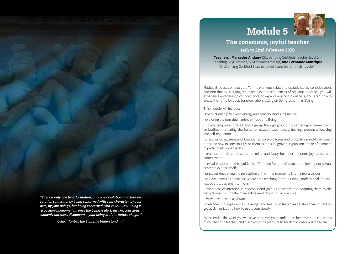

## **The conscious, joyful teacher**

**14th to 21nd February 2020**

**Teachers : Mercedes Andany** (SkyDancing Certified Teacher level 2 – Teaching SkyHommes/SkyFemmes training) **and Fernando Manrique**  (SkyDancing Certified Teacher Level 2 and leader of LET cycle 4)

Module 5 focuses on two core Tantric elements related to ecstatic states: consciousness and non-duality. Merging the teachings and experiences of previous modules, you will experience and develop your own tools to expand your consciousness, and learn how to create the frame for deep transformation resting on Being rather than Doing

This module will include:

- the relationship between energy and consciousness in practice
- exploring the non-dual tantric attitude and Being

• how to empower oneself and a group through grounding, centering, alignment and embodiment, creating the frame for ecstatic experiences, healing, presence, focusing and self-regulation

- practices on awareness of boundaries, comfort zones and protective mind/body structures and how to consciously use them as tools for growth, expansion and reinforcement of participants' inner safety
- practices on deep relaxation of mind and body for inner freedom, joy, peace and contentment
- sexual wisdom: how to guide the "Yoni and Vajra talk" structure allowing our sexual center to express itself;
- practices deepening the perception of the inner masculine & feminine essences

• self-awareness as a teacher: where am I teaching from? Personal, professional and collective attitudes and intentions.

• awareness of intention in choosing and guiding practices and adapting them to the group's needs, using the main active meditations as an example

• How to work with assistants

• co-leadership: explore the challenges and beauty of shared leadership, their impact on group dynamics and how to use it consciously.

By the end of this week you will have improved your confidence, become more conscious of yourself as a teacher, and discovered the pleasure to teach from who you really are.

*"There is only one transformation, only one revolution, and that revolution comes not by being concerned with your character, by your acts, by your doings, but being concerned with your BEING. Being is a positive phenomenon; once the being is alert, awake, conscious, suddenly darkness disappears – your being is of the nature of light."*

*Osho, "Tantra, the Supreme Understanding"*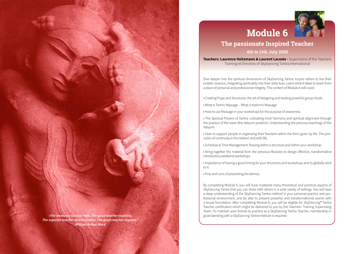



## **The passionate Inspired Teacher 4th to 11th July 2020**

**Teachers: Laurence Heitzmann & Laurent Lacoste - Supervisors of the Teachers** Training et Directors of SkyDancing Tantra International

Dive deeper into the spiritual dimensions of SkyDancing Tantra. Inspire others to live their ecstatic essence, integrating spirituality into their daily lives. Learn what it takes to teach from a place of personal and professional integrity. The content of Module 6 will cover:

- Creating Pujas and Structures: the art of designing and leading powerful group rituals
- What is Tantric Massage What is Kashmiri Massage
- How to use Massage in your workshops for the purpose of awareness

• The Spiritual Powers of Tantra: cultivating inner harmony and spiritual alignment through the practice of the wave (the Yabyum position). Understanding the precious teachings of the Yabyum.

- How to support people in organizing their freedom within the form given by life. The principles of continuity in the relation and with life.
- Schedule & Time Management: flowing within a structure and within your workshop.
- Bring together the material from the previous Modules to design effective, transformative introductory weekend workshops
- Importance of having a good timing for your structures and workshops and to globally stick to it.
- Pros and cons of presenting live demos.

By completing Module 6, you will have mastered many theoretical and practical aspects of SkyDancing Tantra that you can share with others in a wide variety of settings. You will have a deep understanding of the SkyDancing Tantra method in your personal practice and professional environment, and be able to present powerful and transformational events with a broad foundation. After completing Module 6, you will be eligible for SkyDancing® Tantra Teacher certification which might be delivered to you by the Teachers' Training Supervising Team. To maintain your license to practice as a SkyDancing Tantra Teacher, membership in